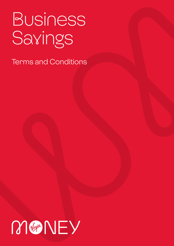# **Business** Savings

Terms and Conditions

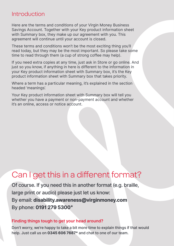### Introduction

Here are the terms and conditions of your Virgin Money Business Savings Account. Together with your Key product information sheet with Summary box, they make up our agreement with you. This agreement will continue until your account is closed.

These terms and conditions won't be the most exciting thing you'll read today, but they may be the most important. So please take some time to read through them (a cup of strong coffee may help).

If you need extra copies at any time, just ask in Store or go online. And just so you know, if anything in here is different to the information in your Key product information sheet with Summary box, it's the Key product information sheet with Summary box that takes priority.

Where a term has a particular meaning, it's explained in the section headed 'meanings'.

Your Key product information sheet with Summary box will tell you whether you have a payment or non-payment account and whether it's an online, access or notice account.

## Can I get this in a different format?

Of course. If you need this in another format (e.g. braille, large print or audio) please just let us know: By email: **disability.awareness@virginmoney.com** By phone: **0191 279 5300**\*

#### **Finding things tough to get your head around?**

Don't worry, we're happy to take a bit more time to explain things if that would help. Just call us on **0345 606 7687\*** and chat to one of our team.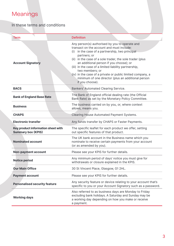## **Meanings**

#### In these terms and conditions

| Term                                                            | <b>Definition</b>                                                                                                                                                                                                                                                                                                                                                                                                                                                                        |  |
|-----------------------------------------------------------------|------------------------------------------------------------------------------------------------------------------------------------------------------------------------------------------------------------------------------------------------------------------------------------------------------------------------------------------------------------------------------------------------------------------------------------------------------------------------------------------|--|
| <b>Account Signatory</b>                                        | Any person(s) authorised by you to operate and<br>transact on the account and must include:<br>(i) in the case of a partnership, two principal<br>partners; or<br>(ii) in the case of a sole trader, the sole trader (plus<br>an additional person if you choose); or<br>(iii) in the case of a limited liability partnership,<br>two members; or<br>(iv) in the case of a private or public limited company, a<br>minimum of one director (plus an additional person<br>if you choose). |  |
| <b>BACS</b>                                                     | Bankers' Automated Clearing Service.                                                                                                                                                                                                                                                                                                                                                                                                                                                     |  |
| <b>Bank of England Base Rate</b>                                | The Bank of England official dealing rate (the Official<br>Bank Rate) as set by the Monetary Policy Committee.                                                                                                                                                                                                                                                                                                                                                                           |  |
| <b>Business</b>                                                 | The business carried on by you, or, where context<br>allows, means you.                                                                                                                                                                                                                                                                                                                                                                                                                  |  |
| <b>CHAPS</b>                                                    | Clearing House Automated Payment Systems.                                                                                                                                                                                                                                                                                                                                                                                                                                                |  |
| <b>Electronic transfer</b>                                      | Any funds transfer by CHAPS or Faster Payments.                                                                                                                                                                                                                                                                                                                                                                                                                                          |  |
| Key product information sheet with<br><b>Summary box (KPIS)</b> | The specific leaflet for each product we offer, setting<br>out specific features of that product.                                                                                                                                                                                                                                                                                                                                                                                        |  |
| Nominated account                                               | The UK bank account in the Business name which you<br>nominate to receive certain payments from your account<br>(or as amended by you).                                                                                                                                                                                                                                                                                                                                                  |  |
| Non-payment account                                             | Please see your KPIS for further details.                                                                                                                                                                                                                                                                                                                                                                                                                                                |  |
| <b>Notice period</b>                                            | Any minimum period of days' notice you must give for<br>withdrawals or closure explained in the KPIS.                                                                                                                                                                                                                                                                                                                                                                                    |  |
| <b>Our Main Office</b>                                          | 30 St Vincent Place, Glasgow, G1 2HL.                                                                                                                                                                                                                                                                                                                                                                                                                                                    |  |
| <b>Payment account</b>                                          | Please see your KPIS for further details.                                                                                                                                                                                                                                                                                                                                                                                                                                                |  |
| <b>Personalised security feature</b>                            | Any security feature or device relating to your account that's<br>specific to you or your Account Signatory such as a password.                                                                                                                                                                                                                                                                                                                                                          |  |
| <b>Working days</b>                                             | Also referred to as business days are Monday to Friday<br>excluding bank holidays. A Saturday and Sunday may be<br>a working day depending on how you make or receive<br>a payment.                                                                                                                                                                                                                                                                                                      |  |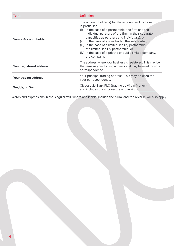| <b>Term</b>                  | <b>Definition</b>                                                                                                                                                                                                                                                                                                                                                                                                                                                          |  |
|------------------------------|----------------------------------------------------------------------------------------------------------------------------------------------------------------------------------------------------------------------------------------------------------------------------------------------------------------------------------------------------------------------------------------------------------------------------------------------------------------------------|--|
| <b>You or Account holder</b> | The account holder(s) for the account and includes<br>in particular:<br>in the case of a partnership, the firm and the<br>(i)<br>individual partners of the firm (in their separate<br>capacities as partners and individuals); or<br>(ii) in the case of a sole trader, the sole trader; or<br>(iii) in the case of a limited liability partnership,<br>the limited liability partnership; or<br>(iv) in the case of a private or public limited company,<br>the company. |  |
| Your registered address      | The address where your business is registered. This may be<br>the same as your trading address and may be used for your<br>correspondence.                                                                                                                                                                                                                                                                                                                                 |  |
| Your trading address         | Your principal trading address. This may be used for<br>your correspondence.                                                                                                                                                                                                                                                                                                                                                                                               |  |
| We, Us, or Our               | Clydesdale Bank PLC (trading as Virgin Money)<br>and includes our successors and assigns.                                                                                                                                                                                                                                                                                                                                                                                  |  |

Words and expressions in the singular will, where applicable, include the plural and the reverse will also apply.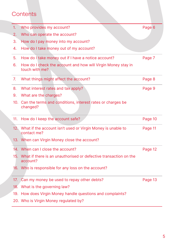## **Contents**

| 1.  | Who provides my account?                                                         | Page 6  |
|-----|----------------------------------------------------------------------------------|---------|
| 2.  | Who can operate the account?                                                     |         |
| 3.  | How do I pay money into my account?                                              |         |
| 4.  | How do I take money out of my account?                                           |         |
| 5.  | How do I take money out if I have a notice account?                              | Page 7  |
| 6.  | How do I check the account and how will Virgin Money stay in<br>touch with me?   |         |
| 7.  | What things might affect the account?                                            | Page 8  |
| 8.  | What interest rates and tax apply?                                               | Page 9  |
| 9.  | What are the charges?                                                            |         |
|     | 10. Can the terms and conditions, interest rates or charges be<br>changed?       |         |
| 11. | How do I keep the account safe?                                                  | Page 10 |
|     | 12. What if the account isn't used or Virgin Money is unable to<br>contact me?   | Page 11 |
|     | 13. When can Virgin Money close the account?                                     |         |
|     | 14. When can I close the account?                                                | Page 12 |
|     | 15. What if there is an unauthorised or defective transaction on the<br>account? |         |
|     | 16. Who is responsible for any loss on the account?                              |         |
| 17. | Can my money be used to repay other debts?                                       | Page 13 |
| 18. | What is the governing law?                                                       |         |
|     | 19. How does Virgin Money handle questions and complaints?                       |         |
|     | 20. Who is Virgin Money regulated by?                                            |         |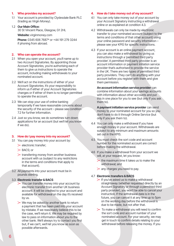#### **1. Who provides my account?**

1.1 Your account is provided by Clydesdale Bank PLC (trading as Virgin Money).

#### 1.2 **Our Main Office:**

30 St Vincent Place, Glasgow, G1 2HL

**Website:** virginmoney.com

**Phone:** 0345 606 7687\* or +44 191 279 3244 if phoning from abroad.

#### **2. Who can operate the account?**

- 2.1 When you open your account, you'll name up to two Account Signatories. By appointing those Account Signatories, you're authorising each of them to give us instructions to operate the account, including making withdrawals to your nominated account.
- 2.2 We'll act on the instructions of either of your Account Signatories. It's your responsibility to inform us if either of your Account Signatories changes or if either of them is no longer permitted to operate the account.
- 2.3 We can stop your use of online banking temporarily if we have reasonable concerns about the security of the account – please see condition 7.2 for further information.
- 2.4 Just so you know, we do sometimes turn down applications for an account (but we'll let you know if we do).

#### **3. How do I pay money into my account?**

- 3.1 You can pay money into your account by:
	- $\triangleright$  electronic transfer:
	- BACS; or
	- $\geq$  transferring money from another business account with us (subject to any restrictions in the terms and conditions that apply to that account).
- 3.2 All payments into your account must be in pounds sterling.

#### 3.3 **Electronic transfer & BACS**

- $\geq$  You can transfer money into your account by electronic transfer from another UK business account. It will be credited to your account and available for withdrawal on the day it's received by us.
- $\triangleright$  We may be asked by another bank to return a payment that has been paid into your account by mistake. If we reasonably believe this to be the case, we'll return it. We may be required by law to pass on information about you to the other bank. We'll always try to contact you first but, if we can't, we'll let you know as soon as possible afterwards.

#### **4. How do I take money out of my account?**

- 4.1 You can only take money out of your account by your Account Signatory instructing a withdrawal online or as explained at condition 4.3.
- 4.2 Withdrawals can only be made by electronic transfer to your nominated account (subject to the terms and conditions of that other account) using your online password and security information – please see your KPIS for specific instructions.
- 4.3 If your account is an online payment account, you can also make a withdrawal by giving us instructions through a 'permitted third party provider'. A permitted third party provider is an account information or payment initiation service provider that's authorised to provide the service in the UK. There are two types of permitted third party providers. They can't do anything with your account before you register with them and give them permission.

**An account information service provider** can combine information about your savings accounts with information about other accounts and put this in one place for you to see (but only if you ask them to).

**A payment initiation service provider** can send money to your nominated account for you so you don't have to do it through Online Service (but only if you ask them to).

- 4.4 You can only make a withdrawal if you have enough money in your account. Withdrawals are subject to any minimum and maximum amounts set out in the KPIS.
- 4.5 You must check the sort code and account number for the nominated account are correct before making the withdrawal.
- 4.6 If you make a withdrawal from your account we will, at your request, let you know:
	- $\triangleright$  the maximum time it takes us to make the withdrawal; and
	- $\rightarrow$  any charges you need to pay.

#### 4.7 **Electronic transfers & BACS**

- $\geq$  If you've asked us to make a withdrawal straightaway (whether requested directly by an Account Signatory or through a permitted third party provider), you won't be able to cancel your instruction. If the withdrawal date is in the future, you can cancel it at any time up to 5pm on the working day before the withdrawal is due to be made, but not after that.
- $\geq$  To make a withdrawal you will need to confirm the sort code and account number of your nominated account. For your security, we may get in touch to confirm details relating to your withdrawal before releasing the money. If you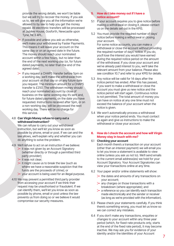provide the wrong details, we won't be liable but we will try to recover the money. If you ask us to, we will give you all the information we're allowed to by law to help you get the money repaid. All electronic transfers will be processed at Jubilee House, Gosforth, Newcastle upon Tyne, NE3 4PL.

- $\triangleright$  If possible and unless you ask us otherwise, we'll make your withdrawal by Faster Payments. This means it will leave your account on the same day or on an agreed date in the future. The money should reach your nominated account within a few hours, but no later than the end of the next working day (or, for future dated payments, no later than the end of the agreed date).
- $\triangleright$  If you request a CHAPS transfer before 5pm on a working day, we'll make the withdrawal from your account on that day or on any future date you request. The minimum amount for a CHAPS transfer is £250. The withdrawn money should reach your nominated account by close of business on the same working day it's sent and, for future dated payments, on the date you have requested. Instructions received after 5pm, or on a non-working day, will be processed the next working day. There will be no charge for this service.

#### 4.8 **Can Virgin Money refuse to carry out a withdrawal instruction?**

We can refuse to carry out your withdrawal instruction, but we'll let you know as soon as possible by phone, email or post. If we can and the law allows, we'll explain why and whether you can do anything to solve the problem.

- 4.9 We'll refuse to act on an instruction if we believe:
	- $\geq$  it was not given by an Account Signatory (whether directly or through a permitted third party provider);
	- $\triangleright$  it was not clear;
	- $\geq$  it might cause us to break the law (such as where we have a reasonable suspicion that the funds are the proceeds of crime); or
	- $\triangleright$  your account is being used for an illegal purpose.
- 4.10 We may prevent a permitted third party provider from accessing your account if we think their request may be unauthorised or fraudulent. If we can identify them, we'll let you know as soon as possible by phone, email or post unless the law prevents us from doing so or we believe it would compromise our security measures.

#### **5. How do I take money out if I have a notice account?**

- 5.1 If your account requires you to give notice before making a withdrawal or closing it, please contact us on the details set out in the KPIS.
- 5.2 You must provide the required number of days' notice before making a withdrawal or closing your account.

For some notice accounts, you can make a withdrawal or close the account without providing the required number of days' notice. If you do, you'll lose the interest you would have earned during the required notice period on the amount of the withdrawal. If you close your account and we've already paid interest to you, we'll take the relevant amount from your balance. Please also see condition 10.7 and refer to your KPIS for details.

- 5.3 Any notice will be valid for 14 days after the notice period has ended. After this has passed, if you want to make a withdrawal or close the account you must give us new notice and the notice period will start again. Continuous notice is not permitted. The total amount of money you can have on notice at any one time must not exceed the balance of your account when the notice is given.
- 5.4 We won't automatically process a withdrawal when your notice period ends. You must contact us again and give us instructions to make the withdrawal or close your account.

#### **6. How do I check the account and how will Virgin Money stay in touch with me?**

#### 6.1 **Checking your account**

Each month there's a transaction on your account (other than an interest payment) we will email you to let you know a statement is available to view online (unless you ask us not to). We'll send emails to the current email address(es) we hold for your Account Signatory. Your Account Signatories can view your transactions online at any time.

- 6.2 Your paper and/or online statements will show:
	- $\geq$  the dates and amounts of any transactions on your account;
	- $\geq$  any charges on those transactions with a breakdown (where appropriate); and
	- $\geq$  a reference so you can identify each transaction made electronically and the sender or receiver (as long as we're provided with the information).
- 6.3 Please check your statements carefully. If you think there's something wrong, you must let us know so we can correct any mistakes.
- 6.4 If you don't make any transactions, enquiries or changes to your account within any three year period (which, for fixed-rate products only, starts at the end of the fixed rate period), it may become inactive. We may ask you for evidence of your identity and/or the identities of your Account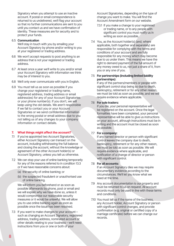Signatory when you attempt to use an inactive account. If postal or email correspondence is returned to us undelivered, we'll flag your account so that no further communications are sent to you until you contact us and we have confirmation of identity. These measures are for security and to protect your funds.

#### 6.5 **Communication**

We'll stay in touch with you by emailing your Account Signatory by phone and/or writing to you at your registered or trading address.

- 6.6 We won't accept requests to post anything to an address that is not your registered or trading address.
- 6.7 At least once a year we'll write to you and/or email your Account Signatory with information we think may be of interest to you.
- 6.8 We'll only ever communicate with you in English.
- 6.9 You must tell us as soon as possible if you change your registered or trading name, registered address, trading address or email address(es) for any of your Account Signatories or your phone number(s). If you don't, we will keep using the old details. We aren't responsible if we fail to contact you or your Account Signatories or we send confidential information to the wrong postal or email address due to you not telling us of any changes to your company information or contact details.

#### **7. What things might affect the account?**

- 7.1 If you've appointed two Account Signatories. either Account Signatory can transact on the account, including withdrawing the full balance and closing the account, without the knowledge or agreement of the other Account holder(s) or Account Signatory, unless you tell us otherwise.
- 7.2 We can stop your use of online banking temporarily for any of the reasons referred to in condition 13.3 or if we have reasonable concerns about:
	- (a) the security of online banking; or
	- (b) the suspected fraudulent or unauthorised use of online banking.

We will inform you beforehand or as soon as possible afterwards by phone, post or email and we will explain why we have done so, unless it would compromise our reasonable security measures or it would be unlawful. We will allow you to use online banking again as soon as possible once the issue has been resolved.

7.3 If you want to make changes to your account – such as changing an Account Signatory, registered address, trading address, nominated account or other details relating to your business – we'll need instructions from you or one or both of your

Account Signatories, depending on the type of change you want to make. You will find the Account Amendment form on our website.

- 7.3.1 If you make a change to your registered or trading name, or to any people with significant control you must notify us in writing as soon as possible.
- 7.4 You, as the Account holder(s) (and, where applicable, both together and separately) are responsible for complying with the terms and conditions of your account and are fully responsible for any money which may become due to us under them. This means we have the right to demand payment of the full amount of any money owed to us, not just a share of it, from you or any one of you.

#### 7.5 **For partnerships (including limited liability partnerships)**:

If any of the partners/members or people with significant control stop being so due to death, bankruptcy, retirement or for any other reason, we must be told as soon as possible, and we will require evidence where applicable.

#### 7.6 **For sole traders:**

If you die, your personal representative will be registered on the account. Once the legal formalities have been completed, your personal representative will be able to give us instructions on your account, although instructions must be in writing and the account must be closed as soon as possible.

#### 7.7 **For a company:**

If any named director or person with significant control leaves the company due to death, bankruptcy, retirement or for any other reason, we must be told as soon as possible. We will require evidence where applicable, and notification of a change of director or person with significant control.

#### 7.8 **For all accounts:**

If an Account Signatory dies we may require documentary evidence according to the circumstances. We'll let you know what we need at the time.

- 7.9 Any account documentation is our property and must be returned to us on request. All account records must only be used in line with these terms and conditions.
- 7.10 You must tell us if the name of the business, any Account holder, Account Signatory or person with significant control changes, and provide confirmation (e.g. original or certified copy of a marriage certificate) before we can change our records.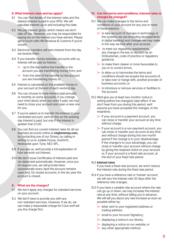#### **8. What interest rates and tax apply?**

- 8.1 You can find details of the interest rates and the date(s) interest is paid in your KPIS. We will calculate interest up to and including this date.
- 8.2 We pay interest 'gross' which means we don't take off tax. However, you may be responsible for paying tax on the interest you have earned. Please get in touch with HM Revenue & Customs if you're unsure.
- 8.3 Electronic transfers will earn interest from the day we receive them.
- 8.4 If you transfer money between accounts with us, interest will be paid as follows:
	- $\triangleright$  up to the day before the transfer in the account you are transferring money from; and
	- $\triangleright$  from the date of the transfer on the account you are transferring money to.
- 8.5 Interest is calculated on the available money in your account at the end of each working day.
- 8.6 You can choose to have interest paid annually or monthly on some accounts. If you change your mind about when you want it paid, we may need to close your account and open a new one for you.
- 8.7 If you've asked us to transfer the interest to your nominated account, we'll do this on the working day interest is paid, but only if the interest is greater than £1.00.
- 8.8 You can find our current interest rates for all our business accounts online at **virginmoney.com,** by contacting one of our Stores, by calling or writing to us at Jubilee House, Gosforth, Newcastle upon Tyne, NE3 4PL.
- 8.9 If you ask us, we'll provide a full explanation of how we work out interest.
- 8.10 We don't issue Certificates of interest paid and tax deducted automatically. However, once you do request one, we will provide them automatically every April the account remains open and, for closed accounts, in the tax year the account is closed.

#### **9. What are the charges?**

- 9.1 We don't apply any charges for standard services on your account.
- 9.2 We don't have to provide you with any non-standard services. However, if we do, we can make a reasonable charge for it but we'll tell you the charge first.

#### **10. Can the terms and conditions, interest rates or charges be changed?**

- 10.1 We can make changes to the terms and conditions of your account for any one or more of these reasons:
	- $\geq$  to take account of changes in technology or the systems we use (including developments in digital banking) and changes we may make in the way we look after your account;
	- $\triangleright$  to meet our requiatory requirements, any change in the law or decision by an Ombudsman, code of practice or regulatory guidance;
	- $\geq$  to make them clearer or more favourable to you or to correct errors;
	- $\geq$  to allow us to harmonise the terms and conditions should we acquire the accounts of, or take over or merge with, another provider of business accounts; or
	- $\geq$  to introduce or remove services or facilities to the account.
- 10.2 We'll give you at least two months' notice in writing before the change(s) take effect. If we don't hear from you during this period, we'll assume you have accepted the changes. In the meantime:
	- $\geq$  If your account is a payment account, you can close or transfer your account at any time without charge.
	- $\triangleright$  If your account is a non-payment account, you can close or transfer your account at any time and without charge during this two-month period if the change is to your disadvantage. If the change is to your advantage, you can close or transfer your account without charge by giving the required notice on your account or, if your account is a fixed rate account, at the end of your fixed rate period.

#### 10.3 **Interest rates**

If you have a fixed rate account, we won't reduce the interest rate during the fixed rate period.

- 10.4 If you have a reference rate or 'tracker' account, we will vary the interest rate 30 days after the reference rate changes.
- 10.5 If you have a variable rate account where the rate can go up or down, we may increase the interest rate at any time, without telling you in advance. We will tell you about any rate increase as soon as possible either by:
	- $\geq$  letter sent to your registered address or trading address;
	- $\triangleright$  email to your Account Signatory;
	- $\triangleright$  displaying a notice in our Stores;
	- $\triangleright$  displaying a notice on our website; or
	- $\rightarrow$  any other appropriate method.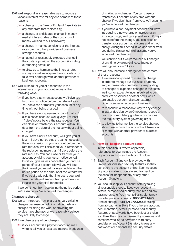- 10.6 We'll respond in a reasonable way to reduce a variable interest rate for any one or more of these reasons:
	- $\geq$  a change in the Bank of England Base Rate (or any other rate that replaces it);
	- $\geq$  a change, or anticipated change, in money market interest rates or the cost to us of money we lend to our borrowers;
	- $\geq$  a change in market conditions or the interest rates paid by other providers of business savings accounts:
	- $\geq$  an actual or reasonably expected change in the costs of providing the account (including our funding costs); or
	- $\geq$  to allow us to harmonise the interest rates we pay should we acquire the accounts of, or take over or merge with, another provider of business accounts.
- 10.7 We'll write to tell you of a reduction in the interest rate on your account in one of the following ways:
	- $\geq$  If you have a payment account, we'll give you two months' notice before the rate reduces. You can close or transfer your account at any time without being charged.
	- $\geq$  If you have a non-payment account that isn't also a notice account, we'll give you at least 14 days' notice before the rate reduces. You can close or transfer your account within 30 days from the date of the notice without being charged.
	- $\triangleright$  If you have a notice account, we'll give you at least 14 days' notice plus the same notice as the notice period on your account before the rate reduces. We'll also send you a reminder of the reduction no more than 14 days before the rate reduces. You can close or transfer your account by giving your usual notice period but if you give us less notice than your notice period (if your account allows) you will lose the interest you would have earned during the notice period on the amount of the withdrawal. If we've already paid that interest to you, we'll take the relevant amount from your balance. Please see your KPIS for details.

If we don't hear from you during the notice period we'll assume you've accepted the changes.

#### **Changes to charges**

10.8 We can introduce new charges or vary existing charges because our administration costs and charges for doing the work or providing the service have changed or we reasonably believe they are likely to change.

10.9 If we change any of our charges:

 $\geq$  if your account is a payment account, we'll write to tell you at least two months in advance of making any changes. You can close or transfer your account at any time without charge. If we don't hear from you, we'll assume you've accepted the changes.

 $\geq$  if you have a non-payment account and we're introducing a new charge or increasing an existing charge, we'll give you at least 30 days' notice before the change. You can close or transfer your account at any time and without charge during this period. If we don't hear from you during this period, we'll assume you've accepted the changes.

You can find out if we've reduced our charges at any time by going online, calling us or visiting one of our Stores.

- 10.10 We will only increase a charge for one or more of these reasons:
	- $\triangleright$  if we reasonably need to make the change in order to manage our business prudently and/ or reasonably profitably by responding to changes or expected changes in the costs we incur or expect to incur in delivering our products or services or other costs which are outside our control and/or external circumstances affecting our business;
	- $\geq$  to respond in a reasonable way to any change in law or decision by an Ombudsman, code of practice or regulatory guidance or changes in the regulatory system governing us; or
	- $\geq$  to allow us to harmonise the service charges should we acquire the accounts of, take over, or merge with another provider of business accounts.

#### **11. How do I keep the account safe?**

In this condition 11, where applicable, references to 'you' include the Account Signatory and you as the Account holder.

- 11.1 Each Account Signatory is provided with unique personalised security features so they can operate the account online. Each Account Signatory is able to operate and transact on the account independently of any other Account Signatory.
- 11.2 You should keep your account safe by taking all reasonable steps to keep your account details, personalised security features and any passwords safe. You must tell us straightaway by calling us at any time on **0800 012 1440** (free of charge) (**+44 191 279 3244** if calling from abroad) or in Store if you think any account documentation, details, personalised security features or passwords have been lost or stolen, you think they may be misused by someone or if someone who isn't a permitted third party provider or an Account Signatory knows any passwords or personalised security details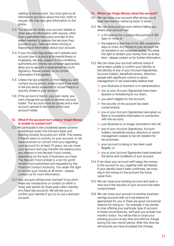relating to the account. You must give us all information you have about the loss, theft or misuse. We may also give information to the police.

- 11.3 You should not share your account details or other security information with anyone, other than a permitted third party provider to the extent needed to operate the services they provide to you. Take care when storing or disposing of information about your account.
- 11.4 If your Account Signatories can't operate your account due to a physical or mental illness or incapacity, we may, subject to the conditions, authorities and checks we consider appropriate, allow you to appoint a replacement Account Signatory. Please contact us for further information if this applies.
- 11.5 Unless the law prevents us from doing so, we'll contact you by phone, email or post if we need to tell you about suspected or actual fraud or a security threat to your account.
- 11.6 If the account is held in your own name, you can't change the account to another account holder. The account must be closed and a new account opened in the name of the new account holder.

#### **12. What if the account isn't used or Virgin Money is unable to contact me?**

- 12.1 We participate in the unclaimed assets scheme established under the Dormant Bank and Building Society Accounts Act 2008. This means if there's been no activity on your account, or we have received no contact from you regarding your account for at least 15 years, we can close your account and may transfer the balance plus any interest to the Reclaim Fund Limited, depending on the type of business you have. The Reclaim Fund Limited is a not-for-profit reclaim fund authorised and regulated by the Financial Conduct Authority. You retain the right to reclaim your money at all times – please contact us for more information.
- 12.2 Your account will become 'dormant' if you don't make any transactions or contact us within a three year period (or three years after maturity of a fixed rate account). We will ask you to confirm your identity if you try to use a dormant account.

#### **13. When can Virgin Money close the account?**

- 13.1 We can close your account after giving you at least two months' notice by letter or email.
- 13.2 We can close your account without telling you where your account has:
	- $\geq$  a £0 balance for a consecutive period of 180 days or more; or
	- $\geq$  the balance is less than £1 for 365 consecutive days or more. Any money in your account will be donated to our corporate charity. You keep the right to reclaim your money from us at any time – please contact us for further information.
- 13.3 We can close your account without notice if we've been unable to confirm your identity or the identity of any of your Account Signatories, Account holders, beneficial owners, directors, people with significant control or senior management or we reasonably believe that:
	- $\triangleright$  your Business is insolvent or in administration;
	- $\rightarrow$  you or your Account Signatories have been abusive or threatening to our team;
	- $\triangleright$  you aren't eligible for the Account;
	- $\geq$  the security of the account has been compromised;
	- $\geq$  you or your Account Signatories have given us false or incomplete information in connection with the account;
	- $\triangleright$  your Business is no longer domiciled in the UK;
	- $\geq$  any of your Account Signatories, Account holders, beneficial owners, directors or senior management ceases to be UK resident for tax purposes;
	- $\triangleright$  vour account is being or has been used illegally; or
	- $\rightarrow$  you or your Account Signatories have breached the terms and conditions of your account.
- 13.4 If we close your account we'll repay the money in the account to you, together with all interest. If your identity hasn't been confirmed, we must return the money to the account the funds came from.
- 13.5 We can close your existing account and open a new one if the security of your account has been compromised.
- 13.6 We can move your account to another business savings account with us if we believe it's appropriate for you or there are good commercial reasons for doing so – for example, if we decide to stop offering your particular type of account. In these circumstances, we'll give you at least two months' notice. You will be free to close your existing account at any time and without charge during this two-month period. After this time we will assume you have accepted the change.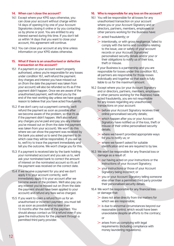#### **14. When can I close the account?**

- 14.1 Except where your KPIS says otherwise, you can close your account without charge within 14 days of opening it by one of your Account Signatories closing it online or by you contacting us by phone or post. You are entitled to any interest earned during this time. If you don't tell us within 14 days that you want to close your account, this agreement will continue.
- 14.2 You can close your account at any time unless information on your KPIS states otherwise.

#### **15. What if there is an unauthorised or defective transaction on the account?**

- 15.1 If a payment on your account wasn't properly authorised, unless you're responsible for any losses under condition 16.1, we'll refund the payment. Any charges and interest you have missed out on (from the date the payment was taken from your account) will also be refunded so it's as if the payment didn't happen. Once we are aware of the unauthorised payment, we'll refund you by the end of the next working day unless we have good reason to believe that you have acted fraudulently.
- 15.2 If we don't carry out a payment correctly, we'll refund the payment as soon as possible after we become aware of the problem, so that it's as if the payment didn't happen. We'll also refund any charges you've paid and pay you any interest you've missed out on (from the date the payment was taken from your account). We won't do this where we can show the payment was received by the bank you asked us to send the payment to (in which case they will be responsible). If you ask us to, we'll try to trace the payment immediately and tell you the outcome. We won't charge you for this.
- 15.3 If a payment is received late by the bank holding your nominated account and you ask us to, we'll ask your nominated bank to correct the amount of interest on the nominated account so it's as if the payment was received on the correct date.
- 15.4 If we receive a payment for you and we don't apply it to your account correctly, we'll immediately apply it to your account after we become aware of the problem. We'll also pay you any interest you've missed out on (from the date the payment should have been applied to your account) and refund any fees we've charged.
- 15.5 If you want to claim a refund from us for an unauthorised or incorrect payment, you must tell us as soon as possible and no later than 13 months after the date of the payment. You should always contact us for a refund even if you gave the instructions for the payment through a permitted third party provider.

#### **16. Who is responsible for any loss on the account?**

- 16.1 You will be responsible for all losses for any unauthorised transaction on your account where you or your Account Signatory and or directors, partners, members, employees or other persons working for the Business have:
	- $\triangleright$  acted fraudulently; or
	- $\triangleright$  intentionally, or with gross negligence, failed to comply with the terms and conditions relating to the issue, use or safety of your account records or your Account Signatories' personalised security details and/or your or their obligations to notify us of their loss, theft or misuse.

If your Business is a partnership and you are responsible for losses under this condition 16.1, all partners are responsible for those losses individually and together so that each is fully liable to us for the maximum amount.

- 16.2 Except where you (or your Account Signatory and or directors, partners, members, employees or other persons working for the Business) have acted fraudulently, you are not responsible for any losses regarding any unauthorised transactions on your account:
	- $\triangleright$  before your Account Signatory receives their online personalised security details;
	- which happen after you or your Account Signatory have notified us of the loss, theft or misuse of their online personalised security details;
	- $\triangleright$  where we haven't provided appropriate ways for you to notify us; or
	- $\triangleright$  where we haven't asked for suitable identification and we are required to by law.
- 16.3 We won't be responsible for any financial loss or damage as a result of:
	- $\geq$  our having acted on your instructions or the instructions of your Account Signatory;
	- $\triangleright$  your instructions or those of your Account Signatory being incorrect; or
	- $\triangleright$  you or your Account Signatory telling someone else other than a permitted third party provider their personalised security details.
- 16.4 We won't be responsible for any financial loss or damage that:
	- $\geq$  does not arise directly from the matters for which we are responsible;
	- $\ge$  is due to abnormal circumstances beyond our reasonable control, which would have been unavoidable despite all efforts to the contrary;

or

 $\triangleright$  arises from us complying with legal requirements (including compliance with money laundering regulations).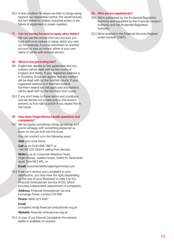16.5 In this condition 16 where we refer to things being beyond our reasonable control, this would include, but isn't limited to, strikes, industrial action or the failure of equipment or power supplies.

#### **17. Can my money be used to repay other debts?**

We can use the money from any account you have with us to reduce or repay debts you owe us. For example, if you're overdrawn on another account or owe us money, either in your own name or jointly with another person.

#### **18. What is the governing law?**

- 18.1 English law applies to this agreement and any matters will be dealt with by the courts of England and Wales. If your registered address is in Scotland, Scots law applies and any matters will be dealt with by the Scottish courts. If your registered address is in Northern Ireland, Northern Ireland law will apply and any matters will be dealt with by the Northern Irish courts.
- 18.2 If you don't keep to these terms and conditions and we decide not to take action, this doesn't prevent us from taking action if you repeat this in the future.
- **19. How does Virgin Money handle questions and complaints?**
- 19.1 We recognise sometimes things go wrong, so if you're unhappy with something please let us know so we can look into the issue.

You can contact us in the following ways:

**Visit** your local Store;

**Call** us on 0345 606 7687\* or +44 191 279 3244 if calling from abroad;

**Write** to us at: Customer Relations Team, Virgin Money, Jubilee House, Gosforth, Newcastle upon Tyne NE3 4PL; or

**Email:** customerrelations@virginmoney.com

19.2 If we can't resolve your complaint to your satisfaction, you may have the right (depending on the size of your Business) to refer it to the Financial Ombudsman Service (FOS), which provides independent assessment of complaints.

**Address:** Financial Ombudsman Service, Exchange Tower, London E14 9SR **Phone:** 0800 023 4567

**Email:**

complaint.info@ financial-ombudsman.org.uk

**Website:** financial-ombudsman.org.uk

19.3 A copy of our Internal Complaints Procedures leaflet is available on request.

#### **20. Who are we regulated by?**

- 20.1 We're authorised by the Prudential Regulation Authority and regulated by the Financial Conduct Authority and the Prudential Regulation Authority.
- 20.2 We're entered in the Financial Services Register under number 121873